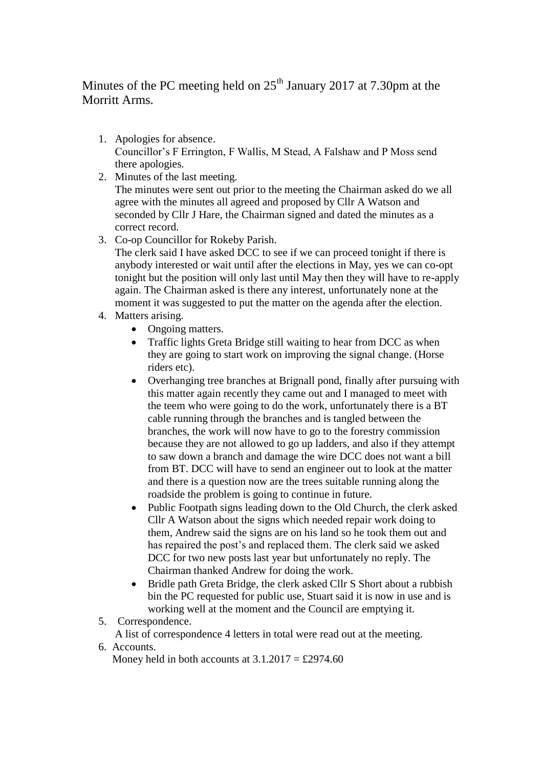Minutes of the PC meeting held on  $25<sup>th</sup>$  January 2017 at 7.30pm at the Morritt Arms.

- 1. Apologies for absence. Councillor's F Errington, F Wallis, M Stead, A Falshaw and P Moss send there apologies.
- 2. Minutes of the last meeting. The minutes were sent out prior to the meeting the Chairman asked do we all agree with the minutes all agreed and proposed by Cllr A Watson and seconded by Cllr J Hare, the Chairman signed and dated the minutes as a correct record.
- 3. Co-op Councillor for Rokeby Parish.

The clerk said I have asked DCC to see if we can proceed tonight if there is anybody interested or wait until after the elections in May, yes we can co-opt tonight but the position will only last until May then they will have to re-apply again. The Chairman asked is there any interest, unfortunately none at the moment it was suggested to put the matter on the agenda after the election.

- 4. Matters arising.
	- Ongoing matters.
	- Traffic lights Greta Bridge still waiting to hear from DCC as when they are going to start work on improving the signal change. (Horse riders etc).
	- Overhanging tree branches at Brignall pond, finally after pursuing with this matter again recently they came out and I managed to meet with the teem who were going to do the work, unfortunately there is a BT cable running through the branches and is tangled between the branches, the work will now have to go to the forestry commission because they are not allowed to go up ladders, and also if they attempt to saw down a branch and damage the wire DCC does not want a bill from BT. DCC will have to send an engineer out to look at the matter and there is a question now are the trees suitable running along the roadside the problem is going to continue in future.
	- Public Footpath signs leading down to the Old Church, the clerk asked Cllr A Watson about the signs which needed repair work doing to them, Andrew said the signs are on his land so he took them out and has repaired the post's and replaced them. The clerk said we asked DCC for two new posts last year but unfortunately no reply. The Chairman thanked Andrew for doing the work.
	- Bridle path Greta Bridge, the clerk asked Cllr S Short about a rubbish bin the PC requested for public use, Stuart said it is now in use and is working well at the moment and the Council are emptying it.
- 5. Correspondence.

A list of correspondence 4 letters in total were read out at the meeting.

6. Accounts.

Money held in both accounts at  $3.1.2017 = \text{\pounds}2974.60$